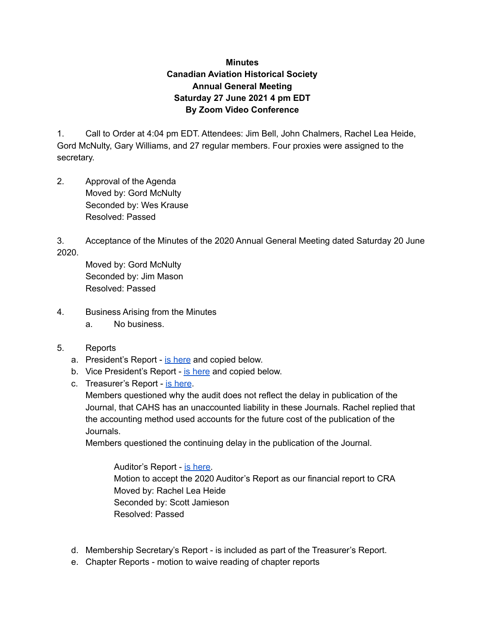## **Minutes Canadian Aviation Historical Society Annual General Meeting Saturday 27 June 2021 4 pm EDT By Zoom Video Conference**

1. Call to Order at 4:04 pm EDT. Attendees: Jim Bell, John Chalmers, Rachel Lea Heide, Gord McNulty, Gary Williams, and 27 regular members. Four proxies were assigned to the secretary.

2. Approval of the Agenda Moved by: Gord McNulty Seconded by: Wes Krause Resolved: Passed

3. Acceptance of the Minutes of the 2020 Annual General Meeting dated Saturday 20 June 2020.

Moved by: Gord McNulty Seconded by: Jim Mason Resolved: Passed

- 4. Business Arising from the Minutes a. No business.
- 5. Reports
	- a. President's Report is [here](https://drive.google.com/file/d/1NMcHGwliluPg_ehukrR8NCq3zn8NrxtS/view?usp=sharing) and copied below.
	- b. Vice President's Report is [here](https://drive.google.com/file/d/13mwrfV_-UnPuSRWamIVkfL_vCvlDjEWP/view?usp=sharing) and copied below.
	- c. Treasurer's Report is [here](https://drive.google.com/file/d/1b9jGUww5ouT1hUE5OmG_TVwWw5vVVhI6/view?usp=sharing).

Members questioned why the audit does not reflect the delay in publication of the Journal, that CAHS has an unaccounted liability in these Journals. Rachel replied that the accounting method used accounts for the future cost of the publication of the Journals.

Members questioned the continuing delay in the publication of the Journal.

Auditor's Report - is [here.](https://www.cahs.com/uploads/1/2/4/8/124898761/draft_2_fin_stmts_cahs_dec_31_2020.pdf) Motion to accept the 2020 Auditor's Report as our financial report to CRA Moved by: Rachel Lea Heide Seconded by: Scott Jamieson Resolved: Passed

- d. Membership Secretary's Report is included as part of the Treasurer's Report.
- e. Chapter Reports motion to waive reading of chapter reports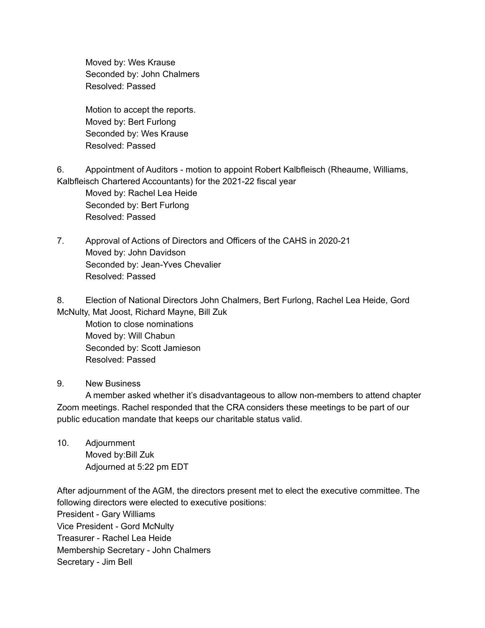Moved by: Wes Krause Seconded by: John Chalmers Resolved: Passed

Motion to accept the reports. Moved by: Bert Furlong Seconded by: Wes Krause Resolved: Passed

6. Appointment of Auditors - motion to appoint Robert Kalbfleisch (Rheaume, Williams, Kalbfleisch Chartered Accountants) for the 2021-22 fiscal year

Moved by: Rachel Lea Heide Seconded by: Bert Furlong Resolved: Passed

7. Approval of Actions of Directors and Officers of the CAHS in 2020-21 Moved by: John Davidson Seconded by: Jean-Yves Chevalier Resolved: Passed

8. Election of National Directors John Chalmers, Bert Furlong, Rachel Lea Heide, Gord McNulty, Mat Joost, Richard Mayne, Bill Zuk

Motion to close nominations Moved by: Will Chabun Seconded by: Scott Jamieson Resolved: Passed

## 9. New Business

A member asked whether it's disadvantageous to allow non-members to attend chapter Zoom meetings. Rachel responded that the CRA considers these meetings to be part of our public education mandate that keeps our charitable status valid.

10. Adjournment Moved by:Bill Zuk Adjourned at 5:22 pm EDT

After adjournment of the AGM, the directors present met to elect the executive committee. The following directors were elected to executive positions: President - Gary Williams Vice President - Gord McNulty Treasurer - Rachel Lea Heide Membership Secretary - John Chalmers Secretary - Jim Bell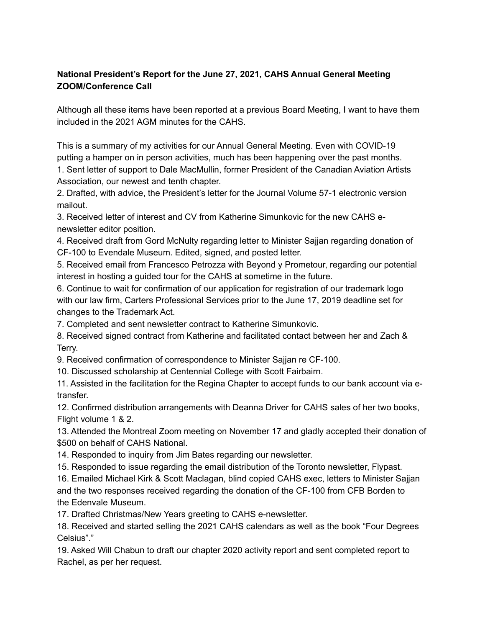## **National President's Report for the June 27, 2021, CAHS Annual General Meeting ZOOM/Conference Call**

Although all these items have been reported at a previous Board Meeting, I want to have them included in the 2021 AGM minutes for the CAHS.

This is a summary of my activities for our Annual General Meeting. Even with COVID-19 putting a hamper on in person activities, much has been happening over the past months.

1. Sent letter of support to Dale MacMullin, former President of the Canadian Aviation Artists Association, our newest and tenth chapter.

2. Drafted, with advice, the President's letter for the Journal Volume 57-1 electronic version mailout.

3. Received letter of interest and CV from Katherine Simunkovic for the new CAHS enewsletter editor position.

4. Received draft from Gord McNulty regarding letter to Minister Sajjan regarding donation of CF-100 to Evendale Museum. Edited, signed, and posted letter.

5. Received email from Francesco Petrozza with Beyond y Prometour, regarding our potential interest in hosting a guided tour for the CAHS at sometime in the future.

6. Continue to wait for confirmation of our application for registration of our trademark logo with our law firm, Carters Professional Services prior to the June 17, 2019 deadline set for changes to the Trademark Act.

7. Completed and sent newsletter contract to Katherine Simunkovic.

8. Received signed contract from Katherine and facilitated contact between her and Zach & Terry.

9. Received confirmation of correspondence to Minister Sajjan re CF-100.

10. Discussed scholarship at Centennial College with Scott Fairbairn.

11. Assisted in the facilitation for the Regina Chapter to accept funds to our bank account via etransfer.

12. Confirmed distribution arrangements with Deanna Driver for CAHS sales of her two books, Flight volume 1 & 2.

13. Attended the Montreal Zoom meeting on November 17 and gladly accepted their donation of \$500 on behalf of CAHS National.

14. Responded to inquiry from Jim Bates regarding our newsletter.

15. Responded to issue regarding the email distribution of the Toronto newsletter, Flypast.

16. Emailed Michael Kirk & Scott Maclagan, blind copied CAHS exec, letters to Minister Sajjan and the two responses received regarding the donation of the CF-100 from CFB Borden to the Edenvale Museum.

17. Drafted Christmas/New Years greeting to CAHS e-newsletter.

18. Received and started selling the 2021 CAHS calendars as well as the book "Four Degrees Celsius"."

19. Asked Will Chabun to draft our chapter 2020 activity report and sent completed report to Rachel, as per her request.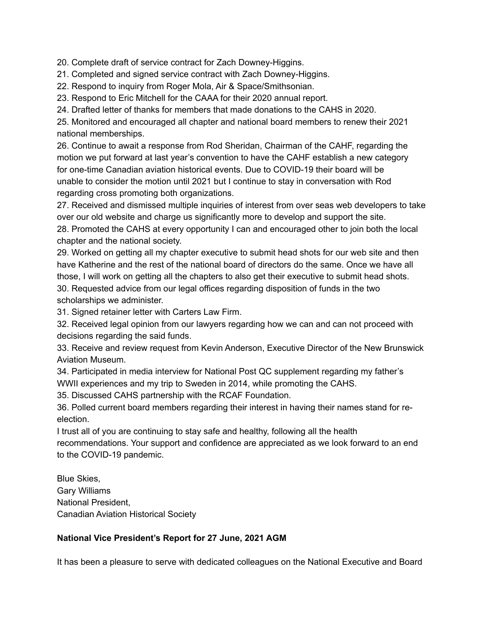20. Complete draft of service contract for Zach Downey-Higgins.

21. Completed and signed service contract with Zach Downey-Higgins.

22. Respond to inquiry from Roger Mola, Air & Space/Smithsonian.

23. Respond to Eric Mitchell for the CAAA for their 2020 annual report.

24. Drafted letter of thanks for members that made donations to the CAHS in 2020.

25. Monitored and encouraged all chapter and national board members to renew their 2021 national memberships.

26. Continue to await a response from Rod Sheridan, Chairman of the CAHF, regarding the motion we put forward at last year's convention to have the CAHF establish a new category for one-time Canadian aviation historical events. Due to COVID-19 their board will be unable to consider the motion until 2021 but I continue to stay in conversation with Rod regarding cross promoting both organizations.

27. Received and dismissed multiple inquiries of interest from over seas web developers to take over our old website and charge us significantly more to develop and support the site.

28. Promoted the CAHS at every opportunity I can and encouraged other to join both the local chapter and the national society.

29. Worked on getting all my chapter executive to submit head shots for our web site and then have Katherine and the rest of the national board of directors do the same. Once we have all those, I will work on getting all the chapters to also get their executive to submit head shots. 30. Requested advice from our legal offices regarding disposition of funds in the two scholarships we administer.

31. Signed retainer letter with Carters Law Firm.

32. Received legal opinion from our lawyers regarding how we can and can not proceed with decisions regarding the said funds.

33. Receive and review request from Kevin Anderson, Executive Director of the New Brunswick Aviation Museum.

34. Participated in media interview for National Post QC supplement regarding my father's WWII experiences and my trip to Sweden in 2014, while promoting the CAHS.

35. Discussed CAHS partnership with the RCAF Foundation.

36. Polled current board members regarding their interest in having their names stand for reelection.

I trust all of you are continuing to stay safe and healthy, following all the health

recommendations. Your support and confidence are appreciated as we look forward to an end to the COVID-19 pandemic.

Blue Skies, Gary Williams National President, Canadian Aviation Historical Society

## **National Vice President's Report for 27 June, 2021 AGM**

It has been a pleasure to serve with dedicated colleagues on the National Executive and Board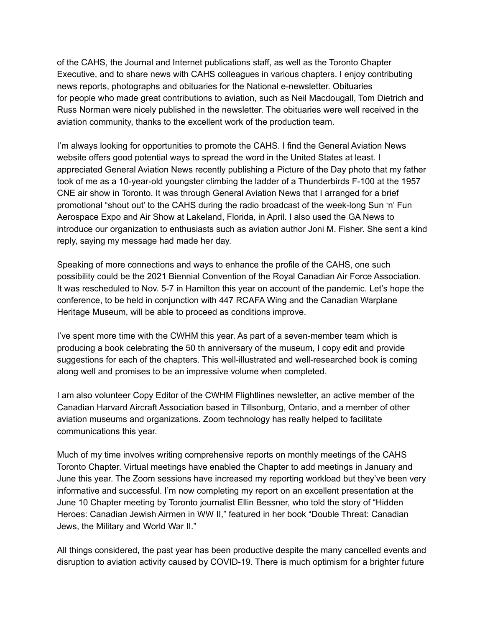of the CAHS, the Journal and Internet publications staff, as well as the Toronto Chapter Executive, and to share news with CAHS colleagues in various chapters. I enjoy contributing news reports, photographs and obituaries for the National e-newsletter. Obituaries for people who made great contributions to aviation, such as Neil Macdougall, Tom Dietrich and Russ Norman were nicely published in the newsletter. The obituaries were well received in the aviation community, thanks to the excellent work of the production team.

I'm always looking for opportunities to promote the CAHS. I find the General Aviation News website offers good potential ways to spread the word in the United States at least. I appreciated General Aviation News recently publishing a Picture of the Day photo that my father took of me as a 10-year-old youngster climbing the ladder of a Thunderbirds F-100 at the 1957 CNE air show in Toronto. It was through General Aviation News that I arranged for a brief promotional "shout out' to the CAHS during the radio broadcast of the week-long Sun 'n' Fun Aerospace Expo and Air Show at Lakeland, Florida, in April. I also used the GA News to introduce our organization to enthusiasts such as aviation author Joni M. Fisher. She sent a kind reply, saying my message had made her day.

Speaking of more connections and ways to enhance the profile of the CAHS, one such possibility could be the 2021 Biennial Convention of the Royal Canadian Air Force Association. It was rescheduled to Nov. 5-7 in Hamilton this year on account of the pandemic. Let's hope the conference, to be held in conjunction with 447 RCAFA Wing and the Canadian Warplane Heritage Museum, will be able to proceed as conditions improve.

I've spent more time with the CWHM this year. As part of a seven-member team which is producing a book celebrating the 50 th anniversary of the museum, I copy edit and provide suggestions for each of the chapters. This well-illustrated and well-researched book is coming along well and promises to be an impressive volume when completed.

I am also volunteer Copy Editor of the CWHM Flightlines newsletter, an active member of the Canadian Harvard Aircraft Association based in Tillsonburg, Ontario, and a member of other aviation museums and organizations. Zoom technology has really helped to facilitate communications this year.

Much of my time involves writing comprehensive reports on monthly meetings of the CAHS Toronto Chapter. Virtual meetings have enabled the Chapter to add meetings in January and June this year. The Zoom sessions have increased my reporting workload but they've been very informative and successful. I'm now completing my report on an excellent presentation at the June 10 Chapter meeting by Toronto journalist Ellin Bessner, who told the story of "Hidden Heroes: Canadian Jewish Airmen in WW II," featured in her book "Double Threat: Canadian Jews, the Military and World War II."

All things considered, the past year has been productive despite the many cancelled events and disruption to aviation activity caused by COVID-19. There is much optimism for a brighter future